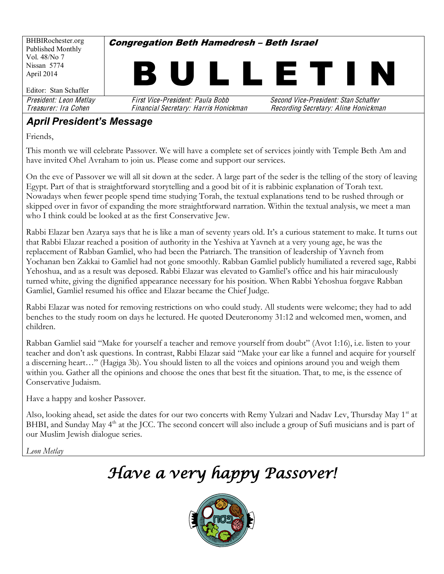

#### **April President's Message**

Friends,

This month we will celebrate Passover. We will have a complete set of services jointly with Temple Beth Am and have invited Ohel Avraham to join us. Please come and support our services.

On the eve of Passover we will all sit down at the seder. A large part of the seder is the telling of the story of leaving Egypt. Part of that is straightforward storytelling and a good bit of it is rabbinic explanation of Torah text. Nowadays when fewer people spend time studying Torah, the textual explanations tend to be rushed through or skipped over in favor of expanding the more straightforward narration. Within the textual analysis, we meet a man who I think could be looked at as the first Conservative Jew.

Rabbi Elazar ben Azarya says that he is like a man of seventy years old. It's a curious statement to make. It turns out that Rabbi Elazar reached a position of authority in the Yeshiva at Yavneh at a very young age, he was the replacement of Rabban Gamliel, who had been the Patriarch. The transition of leadership of Yavneh from Yochanan ben Zakkai to Gamliel had not gone smoothly. Rabban Gamliel publicly humiliated a revered sage, Rabbi Yehoshua, and as a result was deposed. Rabbi Elazar was elevated to Gamliel's office and his hair miraculously turned white, giving the dignified appearance necessary for his position. When Rabbi Yehoshua forgave Rabban Gamliel, Gamliel resumed his office and Elazar became the Chief Judge.

Rabbi Elazar was noted for removing restrictions on who could study. All students were welcome; they had to add benches to the study room on days he lectured. He quoted Deuteronomy 31:12 and welcomed men, women, and children.

Rabban Gamliel said "Make for yourself a teacher and remove yourself from doubt" (Avot 1:16), i.e. listen to your teacher and don't ask questions. In contrast, Rabbi Elazar said "Make your ear like a funnel and acquire for yourself a discerning heart..." (Hagiga 3b). You should listen to all the voices and opinions around you and weigh them within you. Gather all the opinions and choose the ones that best fit the situation. That, to me, is the essence of Conservative Judaism.

Have a happy and kosher Passover.

Also, looking ahead, set aside the dates for our two concerts with Remy Yulzari and Nadav Lev, Thursday May 1<sup>st</sup> at BHBI, and Sunday May 4<sup>th</sup> at the JCC. The second concert will also include a group of Sufi musicians and is part of our Muslim Jewish dialogue series.

*Leon Metlay*

## *Have a very happy Passover!*

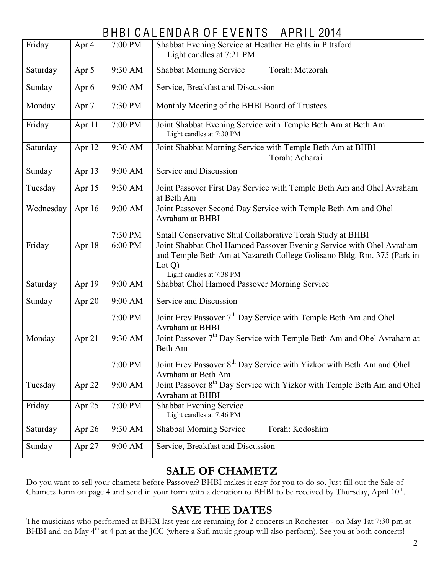#### BHBI CALENDAR OF EVENTS - APRIL 2014

| Friday    | Apr 4  | 7:00 PM | Shabbat Evening Service at Heather Heights in Pittsford<br>Light candles at 7:21 PM                                                                                                  |  |  |  |  |
|-----------|--------|---------|--------------------------------------------------------------------------------------------------------------------------------------------------------------------------------------|--|--|--|--|
| Saturday  | Apr 5  | 9:30 AM | Shabbat Morning Service<br>Torah: Metzorah                                                                                                                                           |  |  |  |  |
| Sunday    | Apr 6  | 9:00 AM | Service, Breakfast and Discussion                                                                                                                                                    |  |  |  |  |
| Monday    | Apr 7  | 7:30 PM | Monthly Meeting of the BHBI Board of Trustees                                                                                                                                        |  |  |  |  |
| Friday    | Apr 11 | 7:00 PM | Joint Shabbat Evening Service with Temple Beth Am at Beth Am<br>Light candles at 7:30 PM                                                                                             |  |  |  |  |
| Saturday  | Apr 12 | 9:30 AM | Joint Shabbat Morning Service with Temple Beth Am at BHBI<br>Torah: Acharai                                                                                                          |  |  |  |  |
| Sunday    | Apr 13 | 9:00 AM | Service and Discussion                                                                                                                                                               |  |  |  |  |
| Tuesday   | Apr 15 | 9:30 AM | Joint Passover First Day Service with Temple Beth Am and Ohel Avraham<br>at Beth Am                                                                                                  |  |  |  |  |
| Wednesday | Apr 16 | 9:00 AM | Joint Passover Second Day Service with Temple Beth Am and Ohel<br>Avraham at BHBI                                                                                                    |  |  |  |  |
|           |        | 7:30 PM | Small Conservative Shul Collaborative Torah Study at BHBI                                                                                                                            |  |  |  |  |
| Friday    | Apr 18 | 6:00 PM | Joint Shabbat Chol Hamoed Passover Evening Service with Ohel Avraham<br>and Temple Beth Am at Nazareth College Golisano Bldg. Rm. 375 (Park in<br>Lot Q)<br>Light candles at 7:38 PM |  |  |  |  |
| Saturday  | Apr 19 | 9:00 AM | Shabbat Chol Hamoed Passover Morning Service                                                                                                                                         |  |  |  |  |
| Sunday    | Apr 20 | 9:00 AM | Service and Discussion                                                                                                                                                               |  |  |  |  |
|           |        | 7:00 PM | Joint Erev Passover 7 <sup>th</sup> Day Service with Temple Beth Am and Ohel<br>Avraham at BHBI                                                                                      |  |  |  |  |
| Monday    | Apr 21 | 9:30 AM | Joint Passover 7 <sup>th</sup> Day Service with Temple Beth Am and Ohel Avraham at<br>Beth Am                                                                                        |  |  |  |  |
|           |        | 7:00 PM | Joint Erev Passover 8 <sup>th</sup> Day Service with Yizkor with Beth Am and Ohel<br>Avraham at Beth Am                                                                              |  |  |  |  |
| Tuesday   | Apr 22 | 9:00 AM | Joint Passover 8 <sup>th</sup> Day Service with Yizkor with Temple Beth Am and Ohel<br>Avraham at BHBI                                                                               |  |  |  |  |
| Friday    | Apr 25 | 7:00 PM | <b>Shabbat Evening Service</b><br>Light candles at 7:46 PM                                                                                                                           |  |  |  |  |
| Saturday  | Apr 26 | 9:30 AM | Torah: Kedoshim<br><b>Shabbat Morning Service</b>                                                                                                                                    |  |  |  |  |
| Sunday    | Apr 27 | 9:00 AM | Service, Breakfast and Discussion                                                                                                                                                    |  |  |  |  |

#### **SALE OF CHAMETZ**

Do you want to sell your chametz before Passover? BHBI makes it easy for you to do so. Just fill out the Sale of Chametz form on page 4 and send in your form with a donation to BHBI to be received by Thursday, April 10<sup>th</sup>.

#### **SAVE THE DATES**

The musicians who performed at BHBI last year are returning for 2 concerts in Rochester - on May 1at 7:30 pm at BHBI and on May 4<sup>th</sup> at 4 pm at the JCC (where a Sufi music group will also perform). See you at both concerts!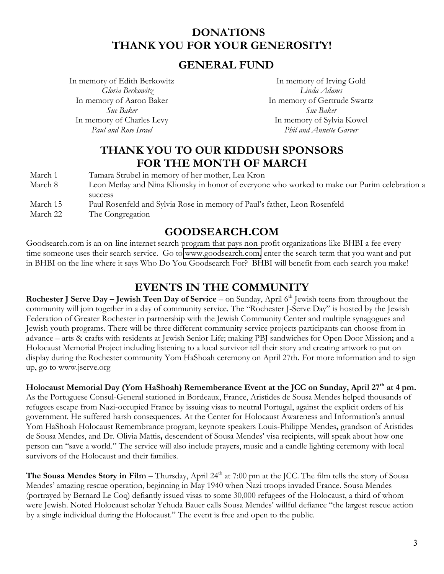#### **DONATIONS THANK YOU FOR YOUR GENEROSITY!**

#### **GENERAL FUND**

In memory of Edith Berkowitz *Gloria Berkowitz* In memory of Aaron Baker *Sue Baker* In memory of Charles Levy *Paul and Rose Israel*

In memory of Irving Gold *Linda Adams* In memory of Gertrude Swartz *Sue Baker* In memory of Sylvia Kowel *Phil and Annette Garver*

#### **THANK YOU TO OUR KIDDUSH SPONSORS FOR THE MONTH OF MARCH**

| March 1  | Tamara Strubel in memory of her mother, Lea Kron                                              |
|----------|-----------------------------------------------------------------------------------------------|
| March 8  | Leon Metlay and Nina Klionsky in honor of everyone who worked to make our Purim celebration a |
|          | success                                                                                       |
| March 15 | Paul Rosenfeld and Sylvia Rose in memory of Paul's father, Leon Rosenfeld                     |
| March 22 | The Congregation                                                                              |

#### **GOODSEARCH.COM**

Goodsearch.com is an on-line internet search program that pays non-profit organizations like BHBI a fee every time someone uses their search service. Go to [www.goodsearch.com,](http://www.goodsearch.com/) enter the search term that you want and put in BHBI on the line where it says Who Do You Goodsearch For? BHBI will benefit from each search you make!

#### **EVENTS IN THE COMMUNITY**

**Rochester J Serve Day – Jewish Teen Day of Service – on Sunday, April 6<sup>th</sup> Jewish teens from throughout the** community will join together in a day of community service. The "Rochester J-Serve Day" is hosted by the Jewish Federation of Greater Rochester in partnership with the Jewish Community Center and multiple synagogues and Jewish youth programs. There will be three different community service projects participants can choose from in advance – arts & crafts with residents at Jewish Senior Life; making PBJ sandwiches for Open Door Mission; and a Holocaust Memorial Project including listening to a local survivor tell their story and creating artwork to put on display during the Rochester community Yom HaShoah ceremony on April 27th. For more information and to sign up, go to www.jserve.org

Holocaust Memorial Day (Yom HaShoah) Rememberance Event at the JCC on Sunday, April 27<sup>th</sup> at 4 pm. As the Portuguese Consul-General stationed in Bordeaux, France, Aristides de Sousa Mendes helped thousands of refugees escape from Nazi-occupied France by issuing visas to neutral Portugal, against the explicit orders of his government. He suffered harsh consequences. At the Center for Holocaust Awareness and Information's annual Yom HaShoah Holocaust Remembrance program, keynote speakers Louis-Philippe Mendes**,** grandson of Aristides de Sousa Mendes, and Dr. Olivia Mattis, descendent of Sousa Mendes' visa recipients, will speak about how one person can "save a world." The service will also include prayers, music and a candle lighting ceremony with local survivors of the Holocaust and their families.

**The Sousa Mendes Story in Film** – Thursday, April 24<sup>th</sup> at 7:00 pm at the JCC. The film tells the story of Sousa Mendes' amazing rescue operation, beginning in May 1940 when Nazi troops invaded France. Sousa Mendes (portrayed by Bernard Le Coq) defiantly issued visas to some 30,000 refugees of the Holocaust, a third of whom were Jewish. Noted Holocaust scholar Yehuda Bauer calls Sousa Mendes' willful defiance "the largest rescue action by a single individual during the Holocaust." The event is free and open to the public.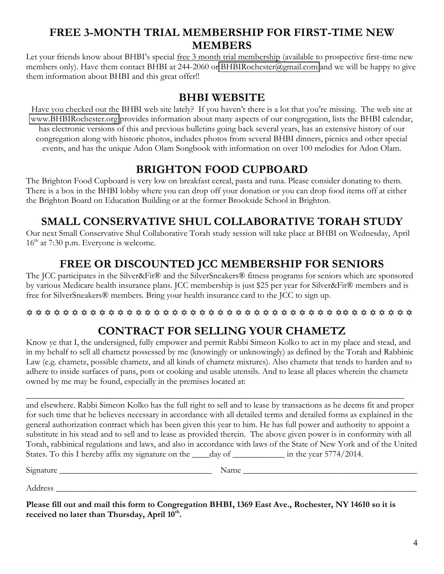#### **FREE 3-MONTH TRIAL MEMBERSHIP FOR FIRST-TIME NEW MEMBERS**

Let your friends know about BHBI's special free 3 month trial membership (available to prospective first-time new members only). Have them contact BHBI at 244-2060 or [BHBIRochester@gmail.com](mailto:BHBIRochester@gmail.com) and we will be happy to give them information about BHBI and this great offer!!

#### **BHBI WEBSITE**

Have you checked out the BHBI web site lately? If you haven't there is a lot that you're missing. The web site at [www.BHBIRochester.org](http://www.bhbirochester.org/) provides information about many aspects of our congregation, lists the BHBI calendar, has electronic versions of this and previous bulletins going back several years, has an extensive history of our congregation along with historic photos, includes photos from several BHBI dinners, picnics and other special events, and has the unique Adon Olam Songbook with information on over 100 melodies for Adon Olam.

#### **BRIGHTON FOOD CUPBOARD**

The Brighton Food Cupboard is very low on breakfast cereal, pasta and tuna. Please consider donating to them. There is a box in the BHBI lobby where you can drop off your donation or you can drop food items off at either the Brighton Board on Education Building or at the former Brookside School in Brighton.

#### **SMALL CONSERVATIVE SHUL COLLABORATIVE TORAH STUDY**

Our next Small Conservative Shul Collaborative Torah study session will take place at BHBI on Wednesday, April  $16<sup>th</sup>$  at 7:30 p.m. Everyone is welcome.

#### **FREE OR DISCOUNTED JCC MEMBERSHIP FOR SENIORS**

The JCC participates in the Silver&Fit® and the SilverSneakers® fitness programs for seniors which are sponsored by various Medicare health insurance plans. JCC membership is just \$25 per year for Silver&Fit® members and is free for SilverSneakers® members. Bring your health insurance card to the JCC to sign up.

#### @ @ @ @ @ @ @ @ @ @ @ @ @ @ @ @ @ @ @ @ @ @ @ @ @ @ @ @ @ @ @ @ @ @ @@ @ @ @ @ @ @ @

#### **CONTRACT FOR SELLING YOUR CHAMETZ**

Know ye that I, the undersigned, fully empower and permit Rabbi Simeon Kolko to act in my place and stead, and in my behalf to sell all chametz possessed by me (knowingly or unknowingly) as defined by the Torah and Rabbinic Law (e.g. chametz, possible chametz, and all kinds of chametz mixtures). Also chametz that tends to harden and to adhere to inside surfaces of pans, pots or cooking and usable utensils. And to lease all places wherein the chametz owned by me may be found, especially in the premises located at:

\_\_\_\_\_\_\_\_\_\_\_\_\_\_\_\_\_\_\_\_\_\_\_\_\_\_\_\_\_\_\_\_\_\_\_\_\_\_\_\_\_\_\_\_\_\_\_\_\_\_\_\_\_\_\_\_\_\_\_\_\_\_\_\_\_\_\_\_\_\_\_\_\_\_\_\_\_\_\_\_\_\_\_\_\_\_\_ and elsewhere. Rabbi Simeon Kolko has the full right to sell and to lease by transactions as he deems fit and proper for such time that he believes necessary in accordance with all detailed terms and detailed forms as explained in the general authorization contract which has been given this year to him. He has full power and authority to appoint a substitute in his stead and to sell and to lease as provided therein. The above given power is in conformity with all Torah, rabbinical regulations and laws, and also in accordance with laws of the State of New York and of the United States. To this I hereby affix my signature on the *\_\_\_\_day* of *\_\_\_\_\_\_\_\_\_\_\_\_\_* in the year 5774/2014.

Signature \_\_\_\_\_\_\_\_\_\_\_\_\_\_\_\_\_\_\_\_\_\_\_\_\_\_\_\_\_\_\_\_\_\_\_ Name \_\_\_\_\_\_\_\_\_\_\_\_\_\_\_\_\_\_\_\_\_\_\_\_\_\_\_\_\_\_\_\_\_\_\_\_\_\_\_\_

Address \_\_\_\_\_\_\_\_\_\_\_\_\_\_\_\_\_\_\_\_\_\_\_\_\_\_\_\_\_\_\_\_\_\_\_\_\_\_\_\_\_\_\_\_\_\_\_\_\_\_\_\_\_\_\_\_\_\_\_\_\_\_\_\_\_\_\_\_\_\_\_\_\_\_\_\_\_\_\_\_\_\_\_

**Please fill out and mail this form to Congregation BHBI, 1369 East Ave., Rochester, NY 14610 so it is**  received no later than Thursday, April 10<sup>th</sup>.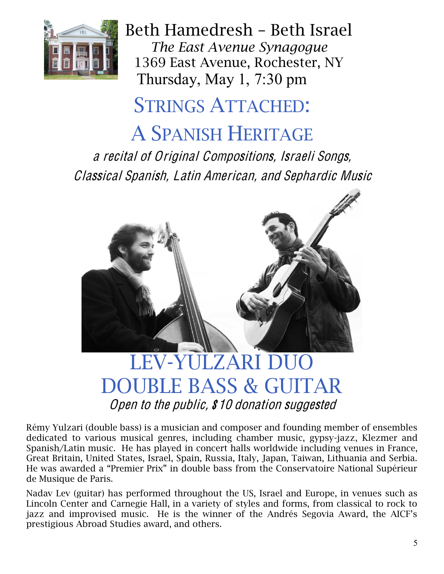

Thursday, May 1, 7:30 pm Beth Hamedresh - Beth Israel *The East Avenue Synagogue* 1369 East Avenue, Rochester, NY

## STRINGS ATTACHED:

## A SPANISH HERITAGE

<sup>a</sup> <sup>r</sup>ecital <sup>o</sup>f Original Compositions, Israeli Songs, Classical Spanish, Latin American, and Sephardi<sup>c</sup> Musi<sup>c</sup>



### LEV-YULZARI DUO DOUBLE BASS & GUITAR Open to the public, \$10 donation suggested

Rémy Yulzari (double bass) is a musician and composer and founding member of ensembles dedicated to various musical genres, including chamber music, gypsy-jazz, Klezmer and Spanish/Latin music. He has played in concert halls worldwide including venues in France, Great Britain, United States, Israel, Spain, Russia, Italy, Japan, Taiwan, Lithuania and Serbia. He was awarded a "Premier Prix" in double bass from the Conservatoire National Supérieur de Musique de Paris.

Nadav Lev (guitar) has performed throughout the US, Israel and Europe, in venues such as Lincoln Center and Carnegie Hall, in a variety of styles and forms, from classical to rock to jazz and improvised music. He is the winner of the Andrés Segovia Award, the AICF's prestigious Abroad Studies award, and others.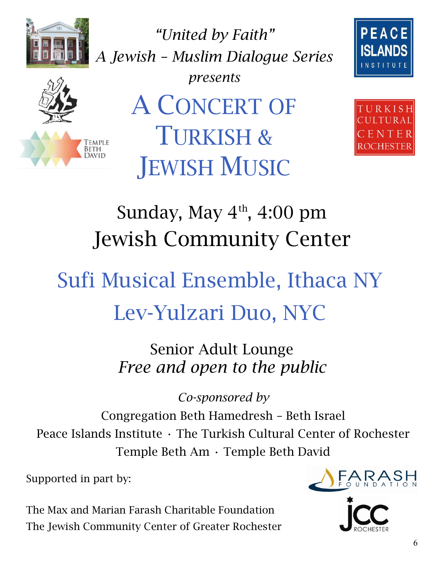

*"United by Faith" A Jewish ² Muslim Dialogue Series*





*presents* A CONCERT OF TURKISH & **JEWISH MUSIC** 



## Sunday, May  $4<sup>th</sup>$ , 4:00 pm Jewish Community Center

# Sufi Musical Ensemble, Ithaca NY Lev-Yulzari Duo, NYC

Senior Adult Lounge *Free and open to the public* 

*Co-sponsored by* Congregation Beth Hamedresh - Beth Israel Peace Islands Institute · The Turkish Cultural Center of Rochester Temple Beth Am · Temple Beth David

Supported in part by:

The Max and Marian Farash Charitable Foundation The Jewish Community Center of Greater Rochester

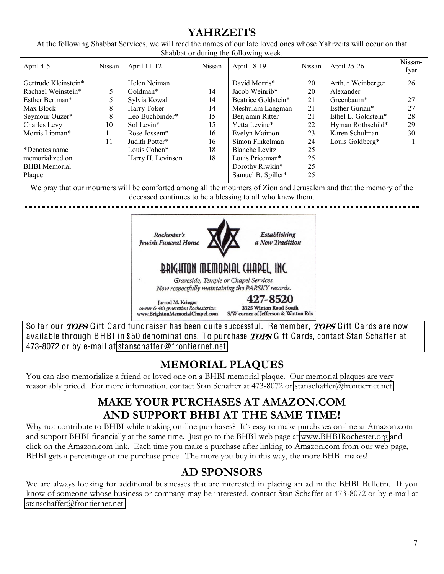#### **YAHRZEITS**

At the following Shabbat Services, we will read the names of our late loved ones whose Yahrzeits will occur on that Shabbat or during the following week.

| April 4-5            | Nissan | April 11-12       | Nissan | April 18-19           | Nissan | April 25-26         | Nissan-<br>Iyar |
|----------------------|--------|-------------------|--------|-----------------------|--------|---------------------|-----------------|
| Gertrude Kleinstein* |        | Helen Neiman      |        | David Morris*         | 20     | Arthur Weinberger   | 26              |
| Rachael Weinstein*   | 5      | Goldman*          | 14     | Jacob Weinrib*        | 20     | Alexander           |                 |
| Esther Bertman*      |        | Sylvia Kowal      | 14     | Beatrice Goldstein*   | 21     | Greenbaum*          | 27              |
| Max Block            | 8      | Harry Toker       | 14     | Meshulam Langman      | 21     | Esther Gurian*      | 27              |
| Seymour Ouzer*       | 8      | Leo Buchbinder*   | 15     | Benjamin Ritter       | 21     | Ethel L. Goldstein* | 28              |
| Charles Levy         | 10     | Sol Levin*        | 15     | Yetta Levine*         | 22     | Hyman Rothschild*   | 29              |
| Morris Lipman*       | 11     | Rose Jossem*      | 16     | Evelyn Maimon         | 23     | Karen Schulman      | 30              |
|                      | 11     | Judith Potter*    | 16     | Simon Finkelman       | 24     | Louis Goldberg*     |                 |
| *Denotes name        |        | Louis Cohen*      | 18     | <b>Blanche Levitz</b> | 25     |                     |                 |
| memorialized on      |        | Harry H. Levinson | 18     | Louis Priceman*       | 25     |                     |                 |
| <b>BHBI</b> Memorial |        |                   |        | Dorothy Riwkin*       | 25     |                     |                 |
| Plaque               |        |                   |        | Samuel B. Spiller*    | 25     |                     |                 |

We pray that our mourners will be comforted among all the mourners of Zion and Jerusalem and that the memory of the deceased continues to be a blessing to all who knew them.



So far our *TOPS* Gift Card fundraiser has been quite successful. Remember, *TOPS* Gift Cards are now available through BHBI in \$50 denominations. To purchase *TOPS* Gift Cards, contact Stan Schaffer at 473-8072 or by e-mail at stanschaffe[r@fronti](mailto:stanschaffer@frontiernet.net)ernet.net

#### **MEMORIAL PLAQUES**

You can also memorialize a friend or loved one on a BHBI memorial plaque. Our memorial plaques are very reasonably priced. For more information, contact Stan Schaffer at 473-8072 or [stanschaffer@frontiernet.net](mailto:stanschaffer@frontiernet.net)

#### **MAKE YOUR PURCHASES AT AMAZON.COM AND SUPPORT BHBI AT THE SAME TIME!**

Why not contribute to BHBI while making on-line purchases? It's easy to make purchases on-line at Amazon.com and support BHBI financially at the same time. Just go to the BHBI web page at [www.BHBIRochester.org](http://www.bhbirochester.org/) and click on the Amazon.com link. Each time you make a purchase after linking to Amazon.com from our web page, BHBI gets a percentage of the purchase price. The more you buy in this way, the more BHBI makes!

#### **AD SPONSORS**

We are always looking for additional businesses that are interested in placing an ad in the BHBI Bulletin. If you know of someone whose business or company may be interested, contact Stan Schaffer at 473-8072 or by e-mail at [stanschaffer@frontiernet.net](mailto:stanschaffer@frontiernet.net)